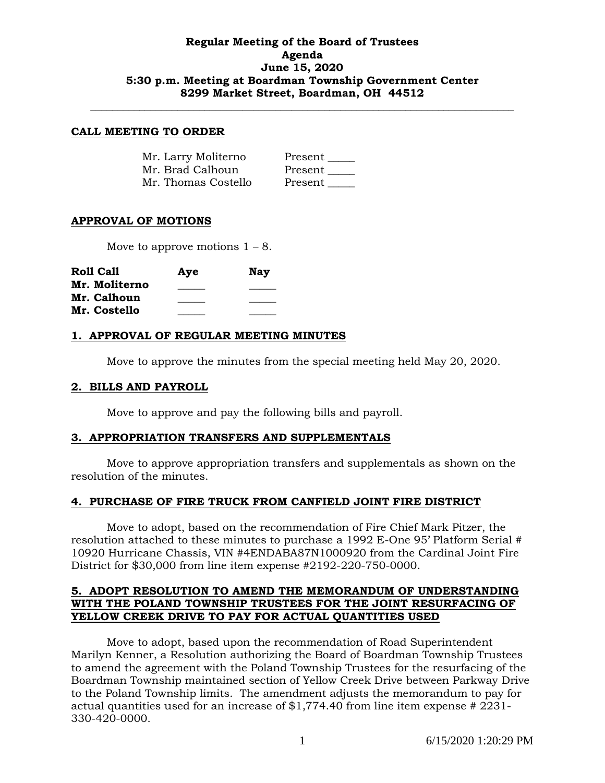## **Regular Meeting of the Board of Trustees Agenda June 15, 2020 5:30 p.m. Meeting at Boardman Township Government Center 8299 Market Street, Boardman, OH 44512**

**\_\_\_\_\_\_\_\_\_\_\_\_\_\_\_\_\_\_\_\_\_\_\_\_\_\_\_\_\_\_\_\_\_\_\_\_\_\_\_\_\_\_\_\_\_\_\_\_\_\_\_\_\_\_\_\_\_\_\_\_\_\_\_\_\_\_\_\_\_\_\_\_\_\_\_\_\_\_**

#### **CALL MEETING TO ORDER**

| Mr. Larry Moliterno | Present |
|---------------------|---------|
| Mr. Brad Calhoun    | Present |
| Mr. Thomas Costello | Present |

## **APPROVAL OF MOTIONS**

Move to approve motions  $1 - 8$ .

| Roll Call     | Aye | <b>Nay</b> |
|---------------|-----|------------|
| Mr. Moliterno |     |            |
| Mr. Calhoun   |     |            |
| Mr. Costello  |     |            |

### **1. APPROVAL OF REGULAR MEETING MINUTES**

Move to approve the minutes from the special meeting held May 20, 2020.

#### **2. BILLS AND PAYROLL**

Move to approve and pay the following bills and payroll.

### **3. APPROPRIATION TRANSFERS AND SUPPLEMENTALS**

Move to approve appropriation transfers and supplementals as shown on the resolution of the minutes.

### **4. PURCHASE OF FIRE TRUCK FROM CANFIELD JOINT FIRE DISTRICT**

Move to adopt, based on the recommendation of Fire Chief Mark Pitzer, the resolution attached to these minutes to purchase a 1992 E-One 95' Platform Serial # 10920 Hurricane Chassis, VIN #4ENDABA87N1000920 from the Cardinal Joint Fire District for \$30,000 from line item expense #2192-220-750-0000.

## **5. ADOPT RESOLUTION TO AMEND THE MEMORANDUM OF UNDERSTANDING WITH THE POLAND TOWNSHIP TRUSTEES FOR THE JOINT RESURFACING OF YELLOW CREEK DRIVE TO PAY FOR ACTUAL QUANTITIES USED**

Move to adopt, based upon the recommendation of Road Superintendent Marilyn Kenner, a Resolution authorizing the Board of Boardman Township Trustees to amend the agreement with the Poland Township Trustees for the resurfacing of the Boardman Township maintained section of Yellow Creek Drive between Parkway Drive to the Poland Township limits. The amendment adjusts the memorandum to pay for actual quantities used for an increase of \$1,774.40 from line item expense # 2231- 330-420-0000.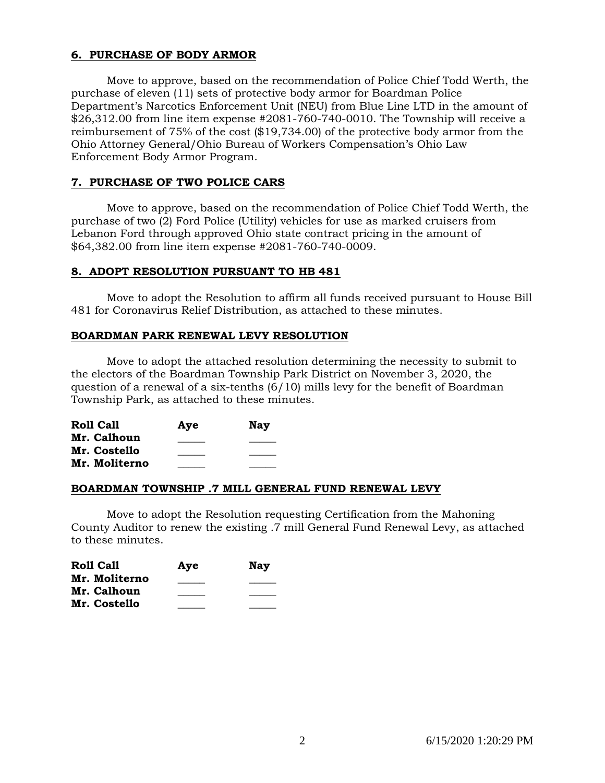# **6. PURCHASE OF BODY ARMOR**

Move to approve, based on the recommendation of Police Chief Todd Werth, the purchase of eleven (11) sets of protective body armor for Boardman Police Department's Narcotics Enforcement Unit (NEU) from Blue Line LTD in the amount of \$26,312.00 from line item expense #2081-760-740-0010. The Township will receive a reimbursement of 75% of the cost (\$19,734.00) of the protective body armor from the Ohio Attorney General/Ohio Bureau of Workers Compensation's Ohio Law Enforcement Body Armor Program.

# **7. PURCHASE OF TWO POLICE CARS**

Move to approve, based on the recommendation of Police Chief Todd Werth, the purchase of two (2) Ford Police (Utility) vehicles for use as marked cruisers from Lebanon Ford through approved Ohio state contract pricing in the amount of \$64,382.00 from line item expense #2081-760-740-0009.

## **8. ADOPT RESOLUTION PURSUANT TO HB 481**

Move to adopt the Resolution to affirm all funds received pursuant to House Bill 481 for Coronavirus Relief Distribution, as attached to these minutes.

## **BOARDMAN PARK RENEWAL LEVY RESOLUTION**

Move to adopt the attached resolution determining the necessity to submit to the electors of the Boardman Township Park District on November 3, 2020, the question of a renewal of a six-tenths  $(6/10)$  mills levy for the benefit of Boardman Township Park, as attached to these minutes.

| Roll Call     | Aye | <b>Nay</b> |
|---------------|-----|------------|
| Mr. Calhoun   |     |            |
| Mr. Costello  |     |            |
| Mr. Moliterno |     |            |

## **BOARDMAN TOWNSHIP .7 MILL GENERAL FUND RENEWAL LEVY**

Move to adopt the Resolution requesting Certification from the Mahoning County Auditor to renew the existing .7 mill General Fund Renewal Levy, as attached to these minutes.

| Roll Call     | Aye | <b>Nay</b> |
|---------------|-----|------------|
| Mr. Moliterno |     |            |
| Mr. Calhoun   |     |            |
| Mr. Costello  |     |            |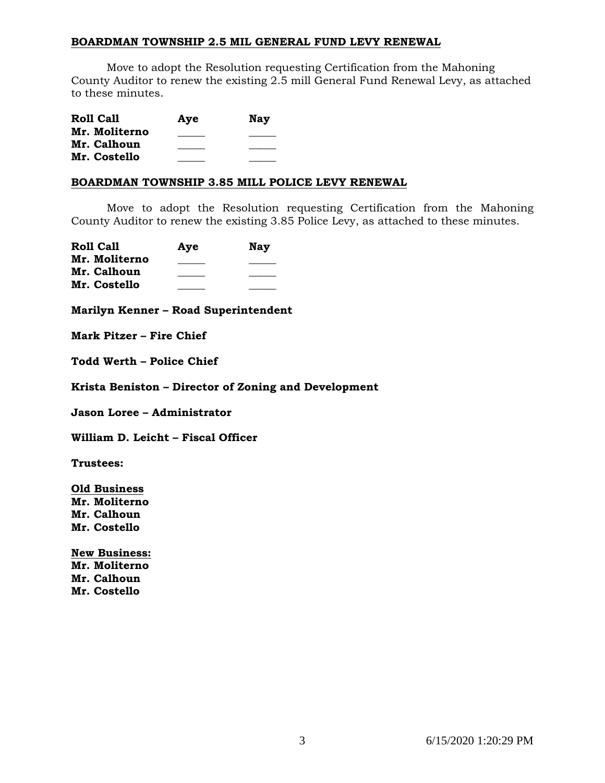### **BOARDMAN TOWNSHIP 2.5 MIL GENERAL FUND LEVY RENEWAL**

Move to adopt the Resolution requesting Certification from the Mahoning County Auditor to renew the existing 2.5 mill General Fund Renewal Levy, as attached to these minutes.

| <b>Roll Call</b> | Aye | <b>Nay</b> |
|------------------|-----|------------|
| Mr. Moliterno    |     |            |
| Mr. Calhoun      |     |            |
| Mr. Costello     |     |            |

### **BOARDMAN TOWNSHIP 3.85 MILL POLICE LEVY RENEWAL**

Move to adopt the Resolution requesting Certification from the Mahoning County Auditor to renew the existing 3.85 Police Levy, as attached to these minutes.

| <b>Roll Call</b> | Aye | Nav |
|------------------|-----|-----|
| Mr. Moliterno    |     |     |
| Mr. Calhoun      |     |     |
| Mr. Costello     |     |     |

**Marilyn Kenner – Road Superintendent**

**Mark Pitzer – Fire Chief**

**Todd Werth – Police Chief**

**Krista Beniston – Director of Zoning and Development**

**Jason Loree – Administrator**

**William D. Leicht – Fiscal Officer**

**Trustees:**

**Old Business Mr. Moliterno Mr. Calhoun Mr. Costello**

**New Business: Mr. Moliterno Mr. Calhoun Mr. Costello**